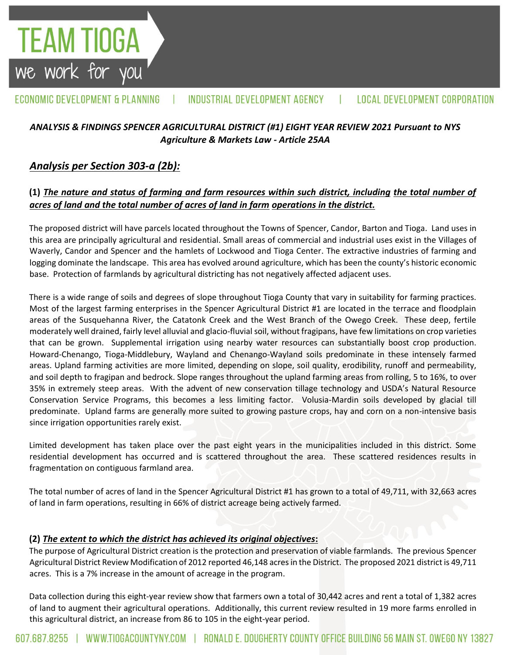#### ECONOMIC DEVELOPMENT & PLANNING INDUSTRIAL DEVELOPMENT AGENCY **LOCAL DEVELOPMENT CORPORATION**

# *ANALYSIS & FINDINGS SPENCER AGRICULTURAL DISTRICT (#1) EIGHT YEAR REVIEW 2021 Pursuant to NYS Agriculture & Markets Law - Article 25AA*

# *Analysis per Section 303-a (2b):*

**TEAM TIOGA**<br>we work for you

# **(1)** *The nature and status of farming and farm resources within such district, including the total number of acres of land and the total number of acres of land in farm operations in the district.*

The proposed district will have parcels located throughout the Towns of Spencer, Candor, Barton and Tioga. Land uses in this area are principally agricultural and residential. Small areas of commercial and industrial uses exist in the Villages of Waverly, Candor and Spencer and the hamlets of Lockwood and Tioga Center. The extractive industries of farming and logging dominate the landscape. This area has evolved around agriculture, which has been the county's historic economic base. Protection of farmlands by agricultural districting has not negatively affected adjacent uses.

There is a wide range of soils and degrees of slope throughout Tioga County that vary in suitability for farming practices. Most of the largest farming enterprises in the Spencer Agricultural District #1 are located in the terrace and floodplain areas of the Susquehanna River, the Catatonk Creek and the West Branch of the Owego Creek. These deep, fertile moderately well drained, fairly level alluvial and glacio-fluvial soil, without fragipans, have few limitations on crop varieties that can be grown. Supplemental irrigation using nearby water resources can substantially boost crop production. Howard-Chenango, Tioga-Middlebury, Wayland and Chenango-Wayland soils predominate in these intensely farmed areas. Upland farming activities are more limited, depending on slope, soil quality, erodibility, runoff and permeability, and soil depth to fragipan and bedrock. Slope ranges throughout the upland farming areas from rolling, 5 to 16%, to over 35% in extremely steep areas. With the advent of new conservation tillage technology and USDA's Natural Resource Conservation Service Programs, this becomes a less limiting factor. Volusia-Mardin soils developed by glacial till predominate. Upland farms are generally more suited to growing pasture crops, hay and corn on a non-intensive basis since irrigation opportunities rarely exist.

Limited development has taken place over the past eight years in the municipalities included in this district. Some residential development has occurred and is scattered throughout the area. These scattered residences results in fragmentation on contiguous farmland area.

The total number of acres of land in the Spencer Agricultural District #1 has grown to a total of 49,711, with 32,663 acres of land in farm operations, resulting in 66% of district acreage being actively farmed.

### **(2)** *The extent to which the district has achieved its original objectives***:**

The purpose of Agricultural District creation is the protection and preservation of viable farmlands. The previous Spencer Agricultural District Review Modification of 2012 reported 46,148 acresin the District. The proposed 2021 district is 49,711 acres. This is a 7% increase in the amount of acreage in the program.

Data collection during this eight-year review show that farmers own a total of 30,442 acres and rent a total of 1,382 acres of land to augment their agricultural operations. Additionally, this current review resulted in 19 more farms enrolled in this agricultural district, an increase from 86 to 105 in the eight-year period.